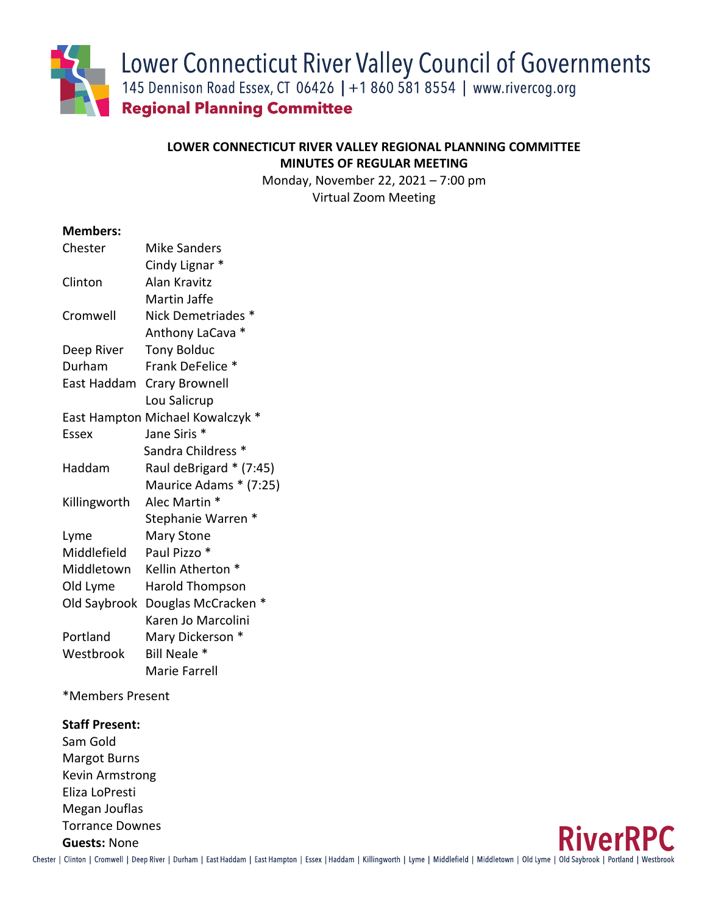Lower Connecticut River Valley Council of Governments

145 Dennison Road Essex, CT 06426 | +1 860 581 8554 | www.rivercog.org

**Regional Planning Committee** 

# **LOWER CONNECTICUT RIVER VALLEY REGIONAL PLANNING COMMITTEE MINUTES OF REGULAR MEETING**

Monday, November 22, 2021 – 7:00 pm Virtual Zoom Meeting

#### **Members:**

| Chester      | <b>Mike Sanders</b>              |
|--------------|----------------------------------|
|              | Cindy Lignar *                   |
| Clinton      | Alan Kravitz                     |
|              | Martin Jaffe                     |
| Cromwell     | Nick Demetriades *               |
|              | Anthony LaCava *                 |
| Deep River   | <b>Tony Bolduc</b>               |
| Durham       | Frank DeFelice *                 |
| East Haddam  | <b>Crary Brownell</b>            |
|              | Lou Salicrup                     |
|              | East Hampton Michael Kowalczyk * |
| Essex        | Jane Siris *                     |
|              | Sandra Childress *               |
| Haddam       | Raul deBrigard * (7:45)          |
|              | Maurice Adams * (7:25)           |
| Killingworth | Alec Martin *                    |
|              | Stephanie Warren *               |
| Lyme         | Mary Stone                       |
| Middlefield  | Paul Pizzo *                     |
| Middletown   | Kellin Atherton *                |
| Old Lyme     | <b>Harold Thompson</b>           |
| Old Saybrook | Douglas McCracken *              |
|              | Karen Jo Marcolini               |
| Portland     | Mary Dickerson *                 |
| Westbrook    | Bill Neale *                     |
|              | Marie Farrell                    |

\*Members Present

### **Staff Present:**

Sam Gold Margot Burns Kevin Armstrong Eliza LoPresti Megan Jouflas Torrance Downes **Guests:** None

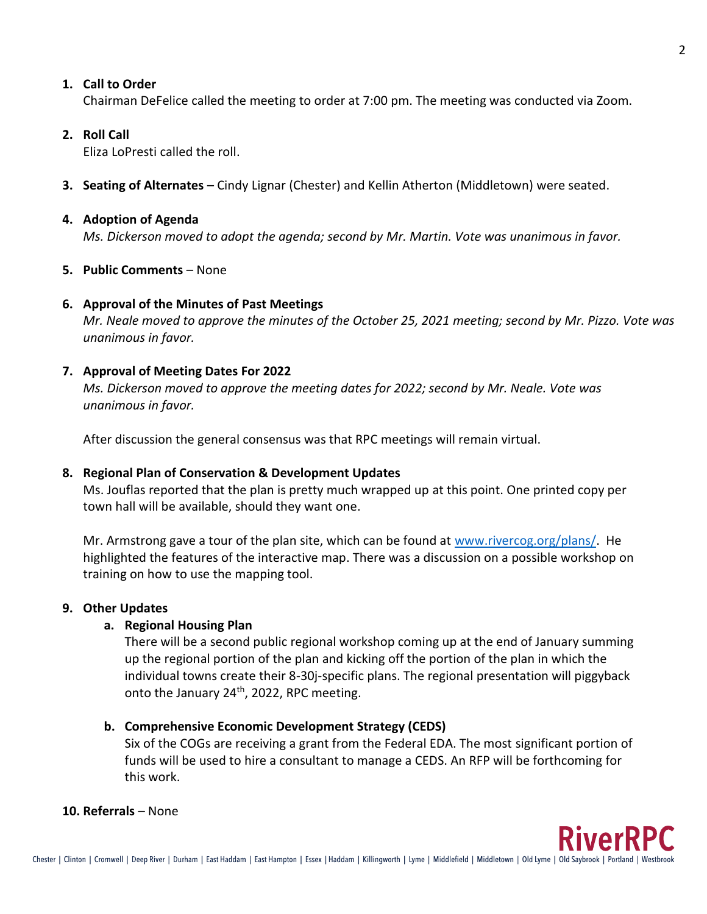2

## **1. Call to Order**

Chairman DeFelice called the meeting to order at 7:00 pm. The meeting was conducted via Zoom.

## **2. Roll Call**

Eliza LoPresti called the roll.

**3. Seating of Alternates** – Cindy Lignar (Chester) and Kellin Atherton (Middletown) were seated.

### **4. Adoption of Agenda**

*Ms. Dickerson moved to adopt the agenda; second by Mr. Martin. Vote was unanimous in favor.*

## **5. Public Comments** – None

## **6. Approval of the Minutes of Past Meetings**

*Mr. Neale moved to approve the minutes of the October 25, 2021 meeting; second by Mr. Pizzo. Vote was unanimous in favor.*

## **7. Approval of Meeting Dates For 2022**

*Ms. Dickerson moved to approve the meeting dates for 2022; second by Mr. Neale. Vote was unanimous in favor.*

After discussion the general consensus was that RPC meetings will remain virtual.

## **8. Regional Plan of Conservation & Development Updates**

Ms. Jouflas reported that the plan is pretty much wrapped up at this point. One printed copy per town hall will be available, should they want one.

Mr. Armstrong gave a tour of the plan site, which can be found at [www.rivercog.org/plans/.](http://www.rivercog.org/plans/) He highlighted the features of the interactive map. There was a discussion on a possible workshop on training on how to use the mapping tool.

#### **9. Other Updates**

## **a. Regional Housing Plan**

There will be a second public regional workshop coming up at the end of January summing up the regional portion of the plan and kicking off the portion of the plan in which the individual towns create their 8-30j-specific plans. The regional presentation will piggyback onto the January 24<sup>th</sup>, 2022, RPC meeting.

#### **b. Comprehensive Economic Development Strategy (CEDS)**

Six of the COGs are receiving a grant from the Federal EDA. The most significant portion of funds will be used to hire a consultant to manage a CEDS. An RFP will be forthcoming for this work.

#### **10. Referrals** – None